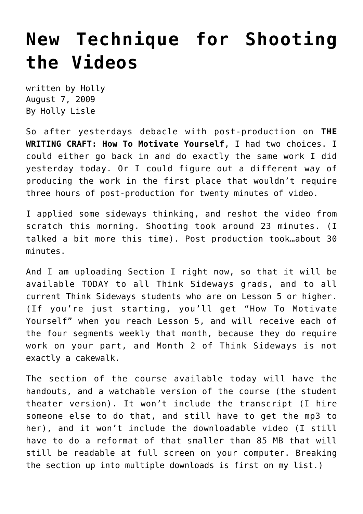## **[New Technique for Shooting](https://hollylisle.com/new-technique-for-shooting-the-videos/) [the Videos](https://hollylisle.com/new-technique-for-shooting-the-videos/)**

written by Holly August 7, 2009 [By Holly Lisle](https://hollylisle.com)

So after yesterdays debacle with post-production on **THE WRITING CRAFT: How To Motivate Yourself**, I had two choices. I could either go back in and do exactly the same work I did yesterday today. Or I could figure out a different way of producing the work in the first place that wouldn't require three hours of post-production for twenty minutes of video.

I applied some sideways thinking, and reshot the video from scratch this morning. Shooting took around 23 minutes. (I talked a bit more this time). Post production took…about 30 minutes.

And I am uploading Section I right now, so that it will be available TODAY to all Think Sideways grads, and to all current Think Sideways students who are on Lesson 5 or higher. (If you're just starting, you'll get "How To Motivate Yourself" when you reach Lesson 5, and will receive each of the four segments weekly that month, because they do require work on your part, and Month 2 of Think Sideways is not exactly a cakewalk.

The section of the course available today will have the handouts, and a watchable version of the course (the student theater version). It won't include the transcript (I hire someone else to do that, and still have to get the mp3 to her), and it won't include the downloadable video (I still have to do a reformat of that smaller than 85 MB that will still be readable at full screen on your computer. Breaking the section up into multiple downloads is first on my list.)